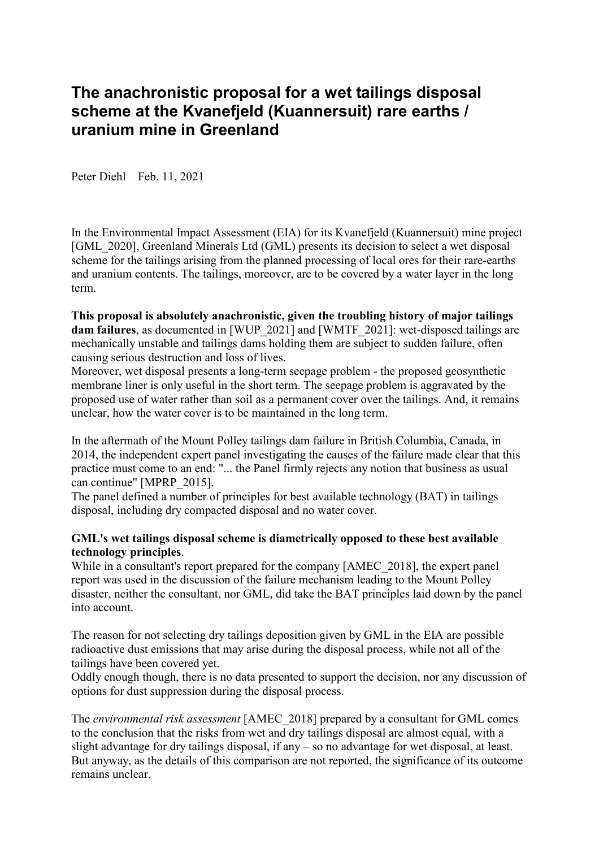# **The anachronistic proposal for a wet tailings disposal scheme at the Kvanefjeld (Kuannersuit) rare earths / uranium mine in Greenland**

Peter Diehl Feb. 11, 2021

In the Environmental Impact Assessment (EIA) for its Kvanefjeld (Kuannersuit) mine project [GML\_2020], Greenland Minerals Ltd (GML) presents its decision to select a wet disposal scheme for the tailings arising from the planned processing of local ores for their rare-earths and uranium contents. The tailings, moreover, are to be covered by a water layer in the long term.

**This proposal is absolutely anachronistic, given the troubling history of major tailings dam failures**, as documented in [WUP\_2021] and [WMTF\_2021]: wet-disposed tailings are mechanically unstable and tailings dams holding them are subject to sudden failure, often causing serious destruction and loss of lives.

Moreover, wet disposal presents a long-term seepage problem - the proposed geosynthetic membrane liner is only useful in the short term. The seepage problem is aggravated by the proposed use of water rather than soil as a permanent cover over the tailings. And, it remains unclear, how the water cover is to be maintained in the long term.

In the aftermath of the Mount Polley tailings dam failure in British Columbia, Canada, in 2014, the independent expert panel investigating the causes of the failure made clear that this practice must come to an end: "... the Panel firmly rejects any notion that business as usual can continue" [MPRP\_2015].

The panel defined a number of principles for best available technology (BAT) in tailings disposal, including dry compacted disposal and no water cover.

## **GML's wet tailings disposal scheme is diametrically opposed to these best available technology principles**.

While in a consultant's report prepared for the company [AMEC\_2018], the expert panel report was used in the discussion of the failure mechanism leading to the Mount Polley disaster, neither the consultant, nor GML, did take the BAT principles laid down by the panel into account.

The reason for not selecting dry tailings deposition given by GML in the EIA are possible radioactive dust emissions that may arise during the disposal process, while not all of the tailings have been covered yet.

Oddly enough though, there is no data presented to support the decision, nor any discussion of options for dust suppression during the disposal process.

The *environmental risk assessment* [AMEC\_2018] prepared by a consultant for GML comes to the conclusion that the risks from wet and dry tailings disposal are almost equal, with a slight advantage for dry tailings disposal, if any – so no advantage for wet disposal, at least. But anyway, as the details of this comparison are not reported, the significance of its outcome remains unclear.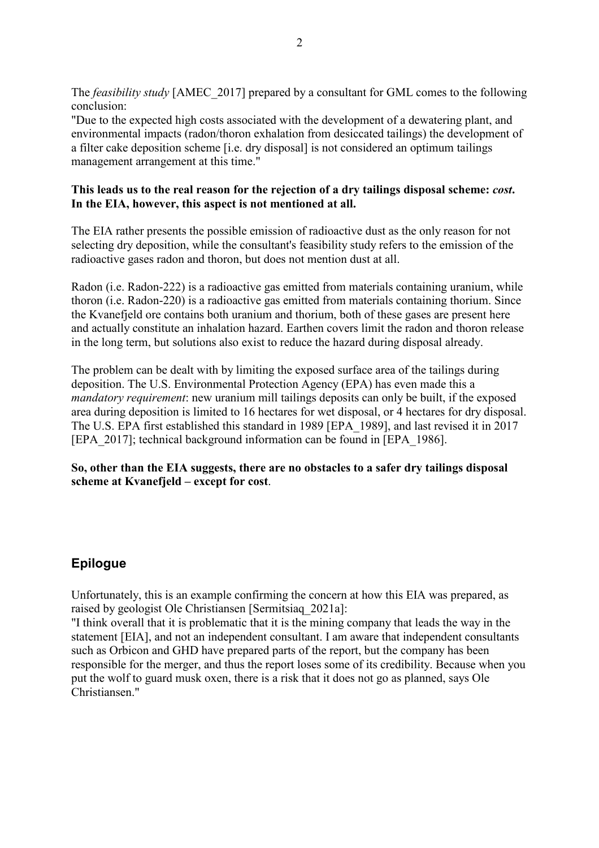The *feasibility study* [AMEC\_2017] prepared by a consultant for GML comes to the following conclusion:

"Due to the expected high costs associated with the development of a dewatering plant, and environmental impacts (radon/thoron exhalation from desiccated tailings) the development of a filter cake deposition scheme [i.e. dry disposal] is not considered an optimum tailings management arrangement at this time."

## **This leads us to the real reason for the rejection of a dry tailings disposal scheme:** *cost***. In the EIA, however, this aspect is not mentioned at all.**

The EIA rather presents the possible emission of radioactive dust as the only reason for not selecting dry deposition, while the consultant's feasibility study refers to the emission of the radioactive gases radon and thoron, but does not mention dust at all.

Radon (i.e. Radon-222) is a radioactive gas emitted from materials containing uranium, while thoron (i.e. Radon-220) is a radioactive gas emitted from materials containing thorium. Since the Kvanefjeld ore contains both uranium and thorium, both of these gases are present here and actually constitute an inhalation hazard. Earthen covers limit the radon and thoron release in the long term, but solutions also exist to reduce the hazard during disposal already.

The problem can be dealt with by limiting the exposed surface area of the tailings during deposition. The U.S. Environmental Protection Agency (EPA) has even made this a *mandatory requirement*: new uranium mill tailings deposits can only be built, if the exposed area during deposition is limited to 16 hectares for wet disposal, or 4 hectares for dry disposal. The U.S. EPA first established this standard in 1989 [EPA\_1989], and last revised it in 2017 [EPA\_2017]; technical background information can be found in [EPA\_1986].

**So, other than the EIA suggests, there are no obstacles to a safer dry tailings disposal scheme at Kvanefjeld – except for cost**.

## **Epilogue**

Unfortunately, this is an example confirming the concern at how this EIA was prepared, as raised by geologist Ole Christiansen [Sermitsiaq\_2021a]:

"I think overall that it is problematic that it is the mining company that leads the way in the statement [EIA], and not an independent consultant. I am aware that independent consultants such as Orbicon and GHD have prepared parts of the report, but the company has been responsible for the merger, and thus the report loses some of its credibility. Because when you put the wolf to guard musk oxen, there is a risk that it does not go as planned, says Ole Christiansen."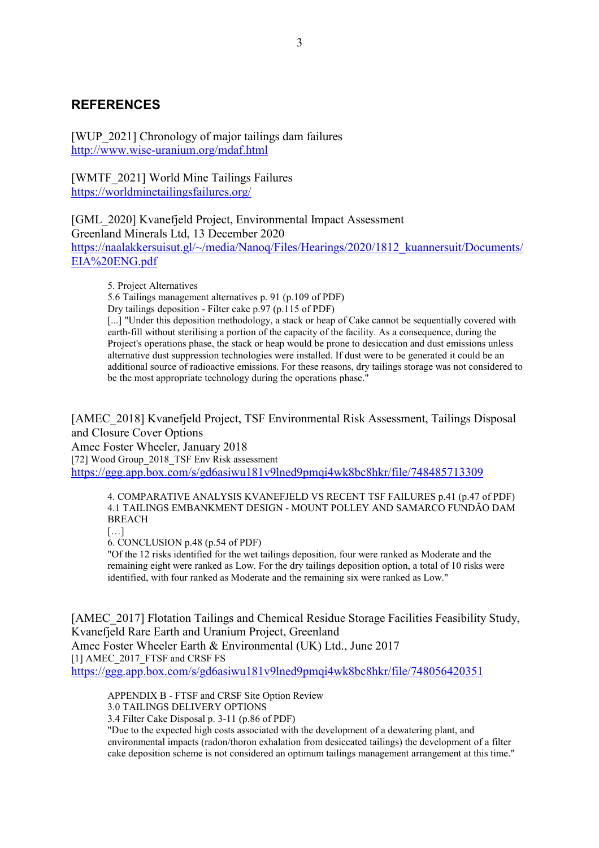### **REFERENCES**

[WUP\_2021] Chronology of major tailings dam failures http://www.wise-uranium.org/mdaf.html

[WMTF\_2021] World Mine Tailings Failures https://worldminetailingsfailures.org/

[GML\_2020] Kvanefjeld Project, Environmental Impact Assessment Greenland Minerals Ltd, 13 December 2020 https://naalakkersuisut.gl/~/media/Nanoq/Files/Hearings/2020/1812\_kuannersuit/Documents/ EIA%20ENG.pdf

5. Project Alternatives

5.6 Tailings management alternatives p. 91 (p.109 of PDF)

Dry tailings deposition - Filter cake p.97 (p.115 of PDF)

[...] "Under this deposition methodology, a stack or heap of Cake cannot be sequentially covered with earth-fill without sterilising a portion of the capacity of the facility. As a consequence, during the Project's operations phase, the stack or heap would be prone to desiccation and dust emissions unless alternative dust suppression technologies were installed. If dust were to be generated it could be an additional source of radioactive emissions. For these reasons, dry tailings storage was not considered to be the most appropriate technology during the operations phase."

[AMEC\_2018] Kvanefjeld Project, TSF Environmental Risk Assessment, Tailings Disposal and Closure Cover Options Amec Foster Wheeler, January 2018 [72] Wood Group\_2018\_TSF Env Risk assessment https://ggg.app.box.com/s/gd6asiwu181v9lned9pmqi4wk8bc8hkr/file/748485713309

4. COMPARATIVE ANALYSIS KVANEFJELD VS RECENT TSF FAILURES p.41 (p.47 of PDF) 4.1 TAILINGS EMBANKMENT DESIGN - MOUNT POLLEY AND SAMARCO FUNDÃO DAM BREACH

[…]

6. CONCLUSION p.48 (p.54 of PDF)

"Of the 12 risks identified for the wet tailings deposition, four were ranked as Moderate and the remaining eight were ranked as Low. For the dry tailings deposition option, a total of 10 risks were identified, with four ranked as Moderate and the remaining six were ranked as Low."

[AMEC\_2017] Flotation Tailings and Chemical Residue Storage Facilities Feasibility Study, Kvanefjeld Rare Earth and Uranium Project, Greenland Amec Foster Wheeler Earth & Environmental (UK) Ltd., June 2017 [1] AMEC\_2017\_FTSF and CRSF FS https://ggg.app.box.com/s/gd6asiwu181v9lned9pmqi4wk8bc8hkr/file/748056420351

APPENDIX B - FTSF and CRSF Site Option Review 3.0 TAILINGS DELIVERY OPTIONS

3.4 Filter Cake Disposal p. 3-11 (p.86 of PDF)

"Due to the expected high costs associated with the development of a dewatering plant, and environmental impacts (radon/thoron exhalation from desiccated tailings) the development of a filter cake deposition scheme is not considered an optimum tailings management arrangement at this time."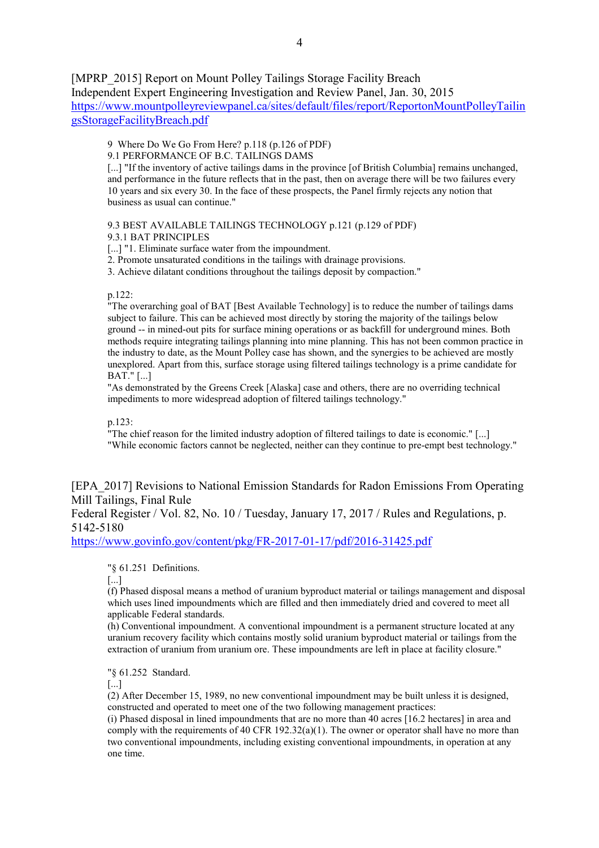[MPRP\_2015] Report on Mount Polley Tailings Storage Facility Breach Independent Expert Engineering Investigation and Review Panel, Jan. 30, 2015 https://www.mountpolleyreviewpanel.ca/sites/default/files/report/ReportonMountPolleyTailin

gsStorageFacilityBreach.pdf

9 Where Do We Go From Here? p.118 (p.126 of PDF)

9.1 PERFORMANCE OF B.C. TAILINGS DAMS

[...] "If the inventory of active tailings dams in the province [of British Columbia] remains unchanged, and performance in the future reflects that in the past, then on average there will be two failures every 10 years and six every 30. In the face of these prospects, the Panel firmly rejects any notion that business as usual can continue."

9.3 BEST AVAILABLE TAILINGS TECHNOLOGY p.121 (p.129 of PDF) 9.3.1 BAT PRINCIPLES

[...] "1. Eliminate surface water from the impoundment.

2. Promote unsaturated conditions in the tailings with drainage provisions.

3. Achieve dilatant conditions throughout the tailings deposit by compaction."

#### p.122:

"The overarching goal of BAT [Best Available Technology] is to reduce the number of tailings dams subject to failure. This can be achieved most directly by storing the majority of the tailings below ground -- in mined-out pits for surface mining operations or as backfill for underground mines. Both methods require integrating tailings planning into mine planning. This has not been common practice in the industry to date, as the Mount Polley case has shown, and the synergies to be achieved are mostly unexplored. Apart from this, surface storage using filtered tailings technology is a prime candidate for BAT." [...]

"As demonstrated by the Greens Creek [Alaska] case and others, there are no overriding technical impediments to more widespread adoption of filtered tailings technology."

p.123:

"The chief reason for the limited industry adoption of filtered tailings to date is economic." [...] "While economic factors cannot be neglected, neither can they continue to pre-empt best technology."

[EPA\_2017] Revisions to National Emission Standards for Radon Emissions From Operating Mill Tailings, Final Rule

Federal Register / Vol. 82, No. 10 / Tuesday, January 17, 2017 / Rules and Regulations, p. 5142-5180

https://www.govinfo.gov/content/pkg/FR-2017-01-17/pdf/2016-31425.pdf

"§ 61.251 Definitions.

[...]

(f) Phased disposal means a method of uranium byproduct material or tailings management and disposal which uses lined impoundments which are filled and then immediately dried and covered to meet all applicable Federal standards.

(h) Conventional impoundment. A conventional impoundment is a permanent structure located at any uranium recovery facility which contains mostly solid uranium byproduct material or tailings from the extraction of uranium from uranium ore. These impoundments are left in place at facility closure."

"§ 61.252 Standard.

[...]

(2) After December 15, 1989, no new conventional impoundment may be built unless it is designed, constructed and operated to meet one of the two following management practices:

(i) Phased disposal in lined impoundments that are no more than 40 acres [16.2 hectares] in area and comply with the requirements of 40 CFR  $192.32(a)(1)$ . The owner or operator shall have no more than two conventional impoundments, including existing conventional impoundments, in operation at any one time.